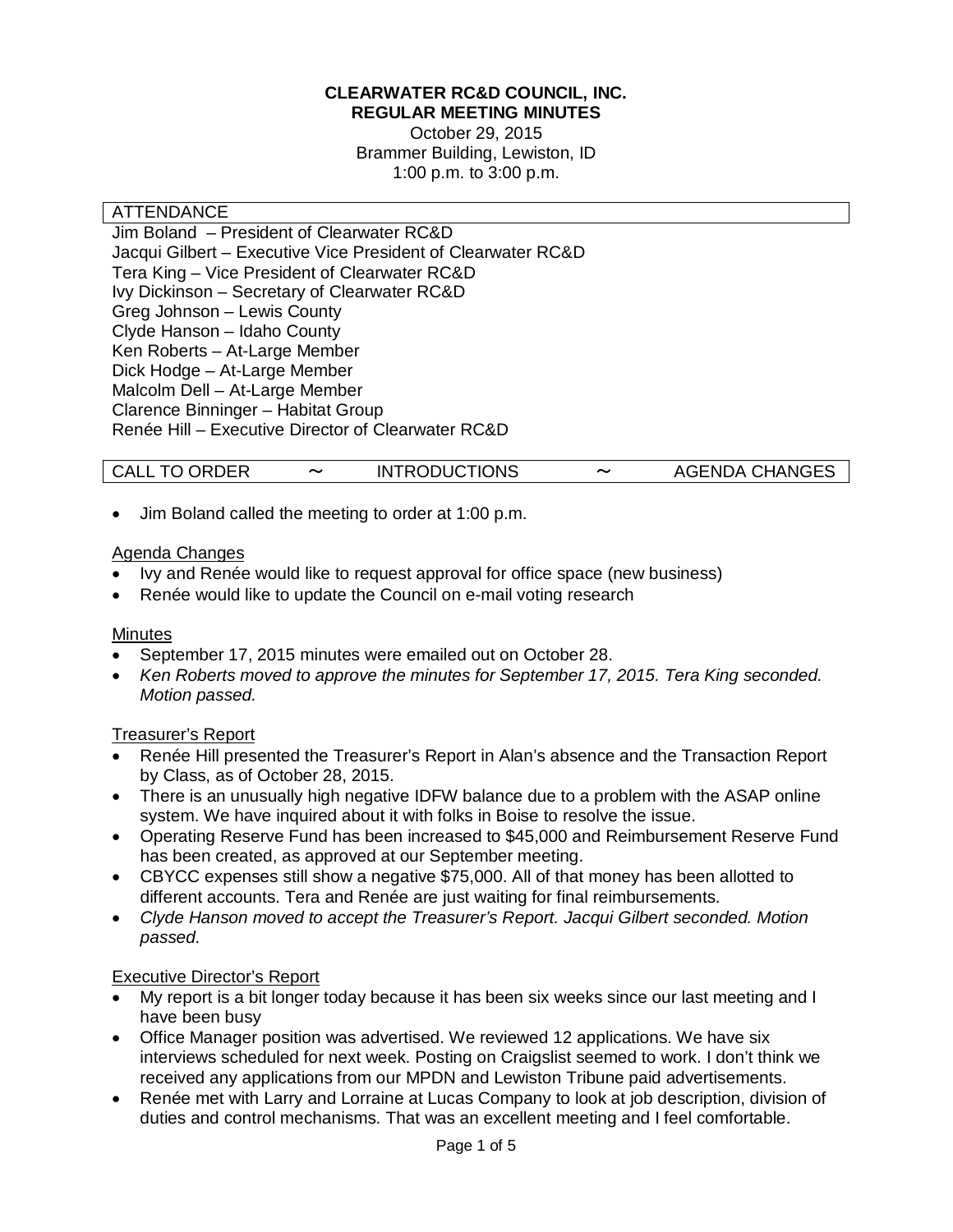### **CLEARWATER RC&D COUNCIL, INC. REGULAR MEETING MINUTES**

October 29, 2015 Brammer Building, Lewiston, ID 1:00 p.m. to 3:00 p.m.

### ATTENDANCE

Jim Boland – President of Clearwater RC&D Jacqui Gilbert – Executive Vice President of Clearwater RC&D Tera King – Vice President of Clearwater RC&D Ivy Dickinson – Secretary of Clearwater RC&D Greg Johnson – Lewis County Clyde Hanson – Idaho County Ken Roberts – At-Large Member Dick Hodge – At-Large Member Malcolm Dell – At-Large Member Clarence Binninger – Habitat Group Renée Hill – Executive Director of Clearwater RC&D

## CALL TO ORDER 〜 INTRODUCTIONS 〜 AGENDA CHANGES

• Jim Boland called the meeting to order at 1:00 p.m.

### Agenda Changes

- Ivy and Renée would like to request approval for office space (new business)
- Renée would like to update the Council on e-mail voting research

## **Minutes**

- September 17, 2015 minutes were emailed out on October 28.
- *Ken Roberts moved to approve the minutes for September 17, 2015. Tera King seconded. Motion passed.*

## Treasurer's Report

- Renée Hill presented the Treasurer's Report in Alan's absence and the Transaction Report by Class, as of October 28, 2015.
- There is an unusually high negative IDFW balance due to a problem with the ASAP online system. We have inquired about it with folks in Boise to resolve the issue.
- Operating Reserve Fund has been increased to \$45,000 and Reimbursement Reserve Fund has been created, as approved at our September meeting.
- CBYCC expenses still show a negative \$75,000. All of that money has been allotted to different accounts. Tera and Renée are just waiting for final reimbursements.
- *Clyde Hanson moved to accept the Treasurer's Report. Jacqui Gilbert seconded. Motion passed.*

## Executive Director's Report

- My report is a bit longer today because it has been six weeks since our last meeting and I have been busy
- Office Manager position was advertised. We reviewed 12 applications. We have six interviews scheduled for next week. Posting on Craigslist seemed to work. I don't think we received any applications from our MPDN and Lewiston Tribune paid advertisements.
- Renée met with Larry and Lorraine at Lucas Company to look at job description, division of duties and control mechanisms. That was an excellent meeting and I feel comfortable.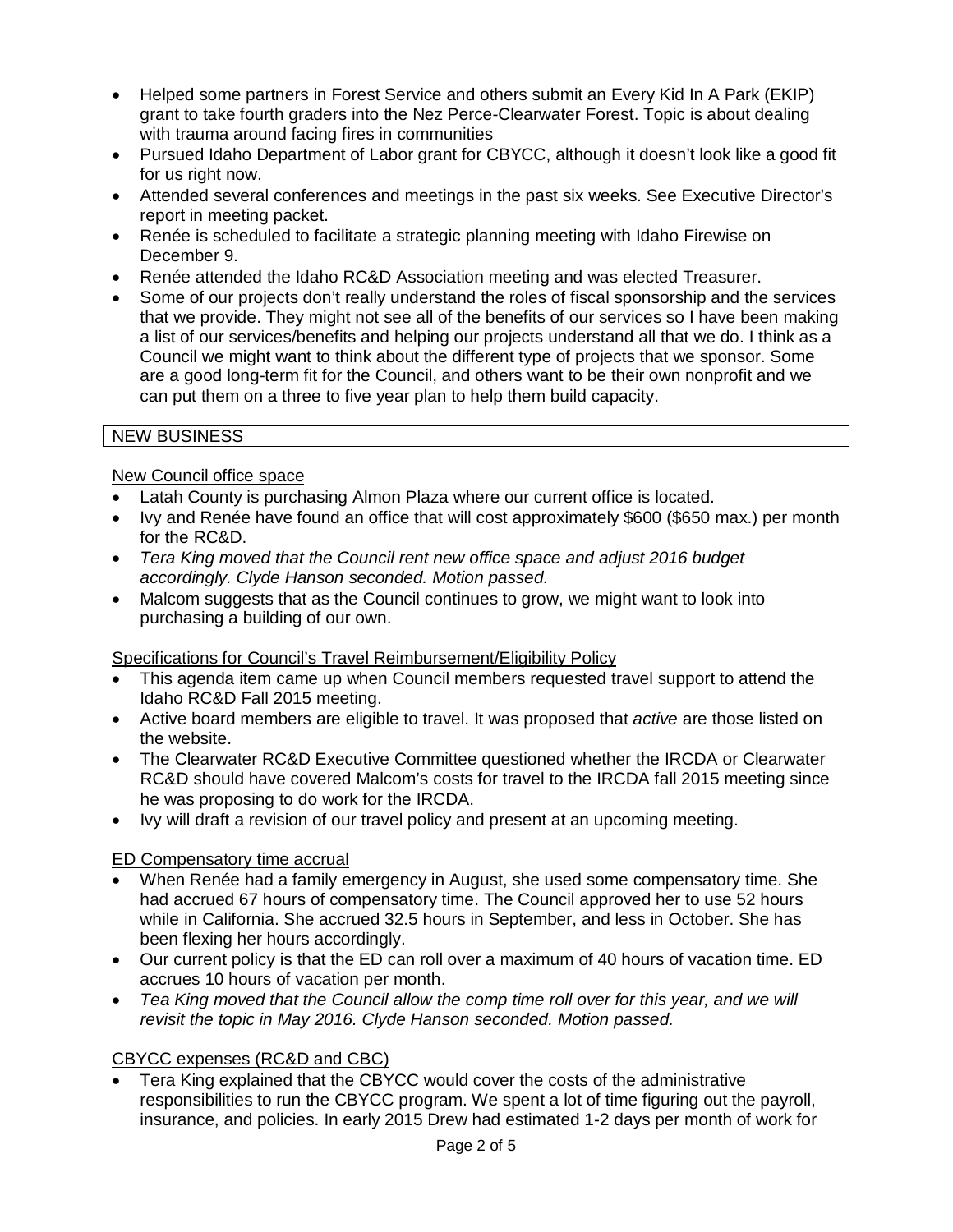- Helped some partners in Forest Service and others submit an Every Kid In A Park (EKIP) grant to take fourth graders into the Nez Perce-Clearwater Forest. Topic is about dealing with trauma around facing fires in communities
- Pursued Idaho Department of Labor grant for CBYCC, although it doesn't look like a good fit for us right now.
- Attended several conferences and meetings in the past six weeks. See Executive Director's report in meeting packet.
- Renée is scheduled to facilitate a strategic planning meeting with Idaho Firewise on December 9.
- Renée attended the Idaho RC&D Association meeting and was elected Treasurer.
- Some of our projects don't really understand the roles of fiscal sponsorship and the services that we provide. They might not see all of the benefits of our services so I have been making a list of our services/benefits and helping our projects understand all that we do. I think as a Council we might want to think about the different type of projects that we sponsor. Some are a good long-term fit for the Council, and others want to be their own nonprofit and we can put them on a three to five year plan to help them build capacity.

# NEW BUSINESS

# New Council office space

- Latah County is purchasing Almon Plaza where our current office is located.
- Ivy and Renée have found an office that will cost approximately \$600 (\$650 max.) per month for the RC&D.
- *Tera King moved that the Council rent new office space and adjust 2016 budget accordingly. Clyde Hanson seconded. Motion passed.*
- Malcom suggests that as the Council continues to grow, we might want to look into purchasing a building of our own.

# Specifications for Council's Travel Reimbursement/Eligibility Policy

- This agenda item came up when Council members requested travel support to attend the Idaho RC&D Fall 2015 meeting.
- Active board members are eligible to travel. It was proposed that *active* are those listed on the website.
- The Clearwater RC&D Executive Committee questioned whether the IRCDA or Clearwater RC&D should have covered Malcom's costs for travel to the IRCDA fall 2015 meeting since he was proposing to do work for the IRCDA.
- Ivy will draft a revision of our travel policy and present at an upcoming meeting.

# ED Compensatory time accrual

- When Renée had a family emergency in August, she used some compensatory time. She had accrued 67 hours of compensatory time. The Council approved her to use 52 hours while in California. She accrued 32.5 hours in September, and less in October. She has been flexing her hours accordingly.
- Our current policy is that the ED can roll over a maximum of 40 hours of vacation time. ED accrues 10 hours of vacation per month.
- *Tea King moved that the Council allow the comp time roll over for this year, and we will revisit the topic in May 2016. Clyde Hanson seconded. Motion passed.*

## CBYCC expenses (RC&D and CBC)

• Tera King explained that the CBYCC would cover the costs of the administrative responsibilities to run the CBYCC program. We spent a lot of time figuring out the payroll, insurance, and policies. In early 2015 Drew had estimated 1-2 days per month of work for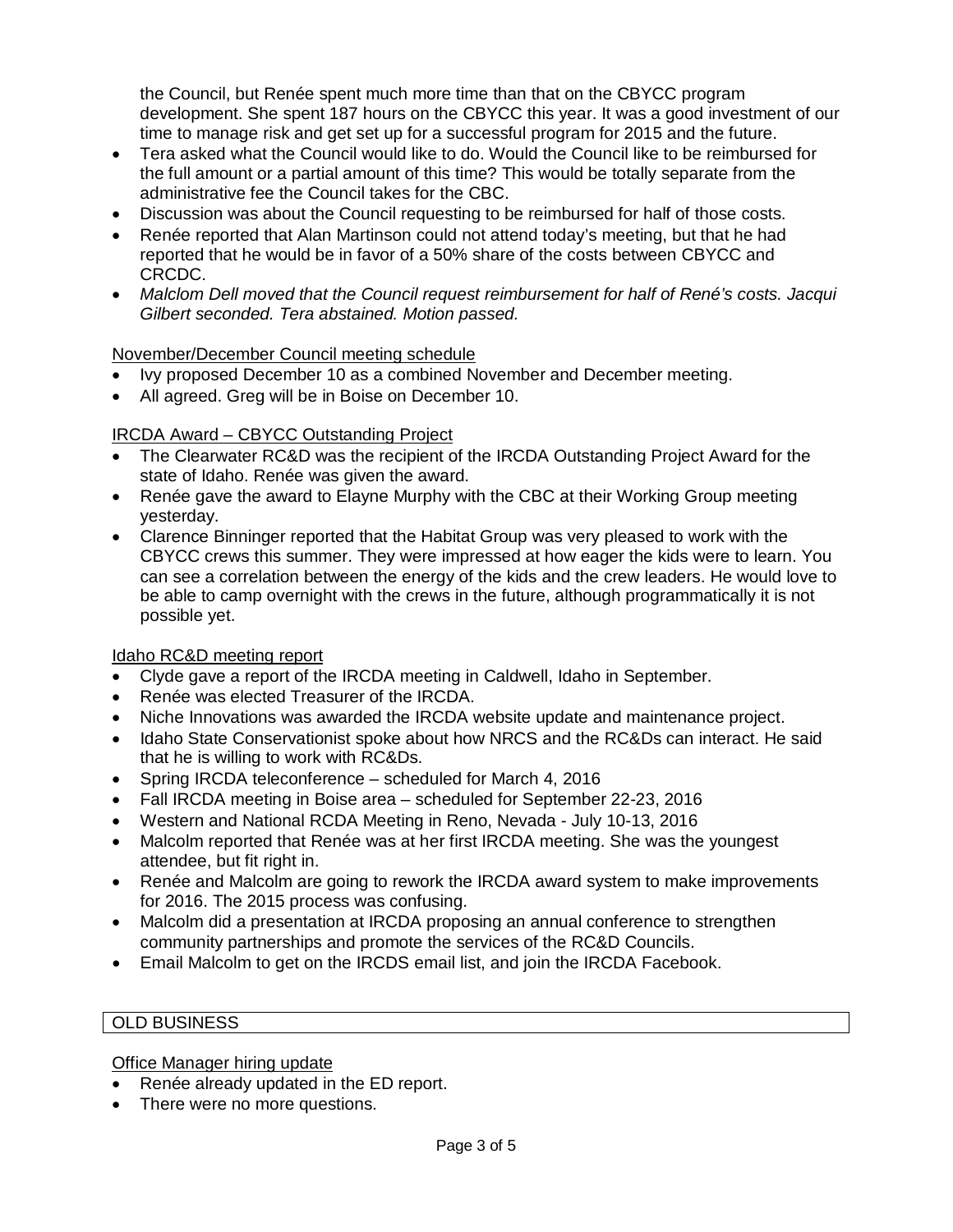the Council, but Renée spent much more time than that on the CBYCC program development. She spent 187 hours on the CBYCC this year. It was a good investment of our time to manage risk and get set up for a successful program for 2015 and the future.

- Tera asked what the Council would like to do. Would the Council like to be reimbursed for the full amount or a partial amount of this time? This would be totally separate from the administrative fee the Council takes for the CBC.
- Discussion was about the Council requesting to be reimbursed for half of those costs.
- Renée reported that Alan Martinson could not attend today's meeting, but that he had reported that he would be in favor of a 50% share of the costs between CBYCC and CRCDC.
- *Malclom Dell moved that the Council request reimbursement for half of René's costs. Jacqui Gilbert seconded. Tera abstained. Motion passed.*

## November/December Council meeting schedule

- Ivy proposed December 10 as a combined November and December meeting.
- All agreed. Greg will be in Boise on December 10.

### IRCDA Award – CBYCC Outstanding Project

- The Clearwater RC&D was the recipient of the IRCDA Outstanding Project Award for the state of Idaho. Renée was given the award.
- Renée gave the award to Elayne Murphy with the CBC at their Working Group meeting yesterday.
- Clarence Binninger reported that the Habitat Group was very pleased to work with the CBYCC crews this summer. They were impressed at how eager the kids were to learn. You can see a correlation between the energy of the kids and the crew leaders. He would love to be able to camp overnight with the crews in the future, although programmatically it is not possible yet.

#### Idaho RC&D meeting report

- Clyde gave a report of the IRCDA meeting in Caldwell, Idaho in September.
- Renée was elected Treasurer of the IRCDA.
- Niche Innovations was awarded the IRCDA website update and maintenance project.
- Idaho State Conservationist spoke about how NRCS and the RC&Ds can interact. He said that he is willing to work with RC&Ds.
- Spring IRCDA teleconference scheduled for March 4, 2016
- Fall IRCDA meeting in Boise area scheduled for September 22-23, 2016
- Western and National RCDA Meeting in Reno, Nevada July 10-13, 2016
- Malcolm reported that Renée was at her first IRCDA meeting. She was the youngest attendee, but fit right in.
- Renée and Malcolm are going to rework the IRCDA award system to make improvements for 2016. The 2015 process was confusing.
- Malcolm did a presentation at IRCDA proposing an annual conference to strengthen community partnerships and promote the services of the RC&D Councils.
- Email Malcolm to get on the IRCDS email list, and join the IRCDA Facebook.

#### OLD BUSINESS

#### Office Manager hiring update

- Renée already updated in the ED report.
- There were no more questions.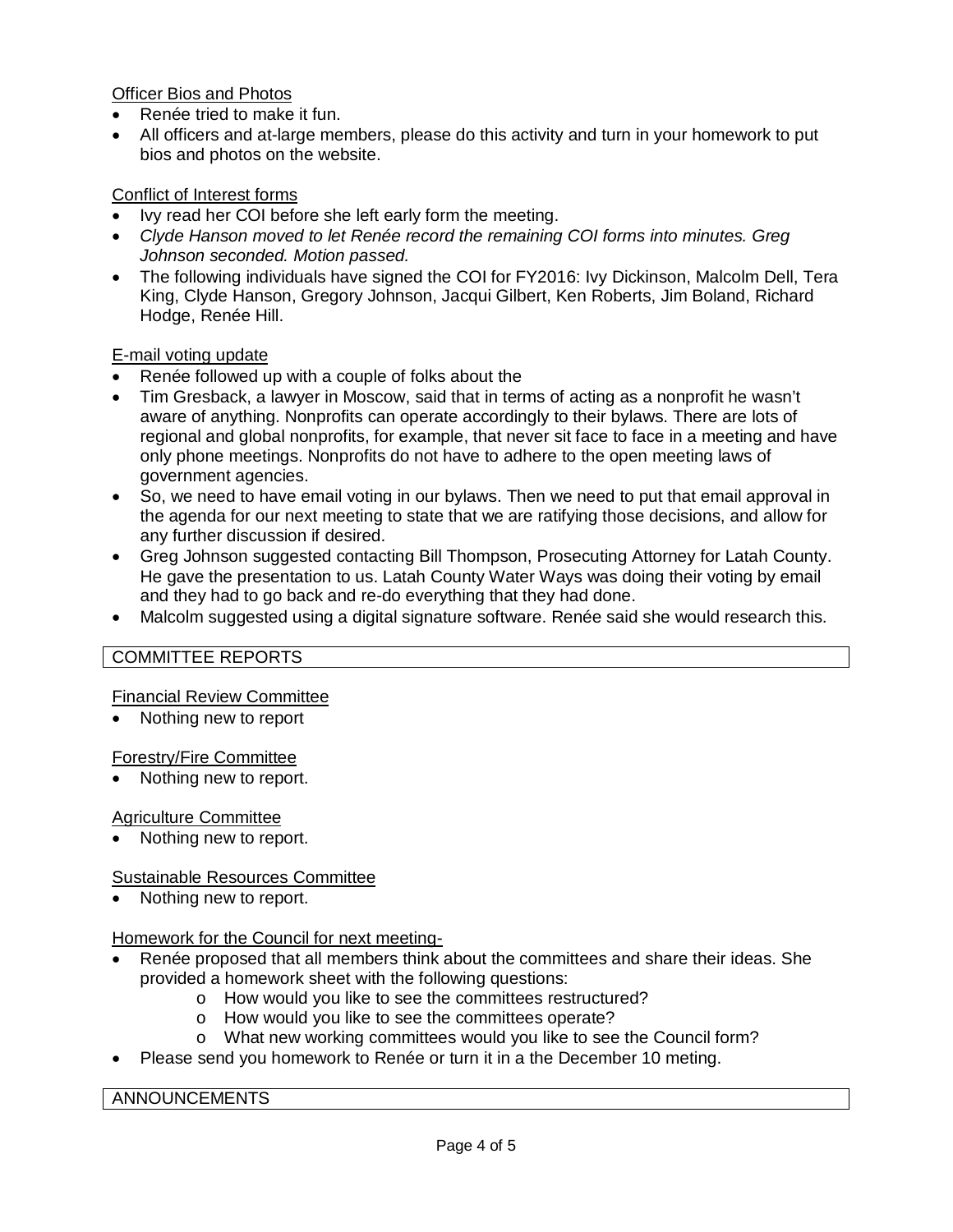Officer Bios and Photos

- Renée tried to make it fun.
- All officers and at-large members, please do this activity and turn in your homework to put bios and photos on the website.

# Conflict of Interest forms

- Ivy read her COI before she left early form the meeting.
- *Clyde Hanson moved to let Renée record the remaining COI forms into minutes. Greg Johnson seconded. Motion passed.*
- The following individuals have signed the COI for FY2016: Ivy Dickinson, Malcolm Dell, Tera King, Clyde Hanson, Gregory Johnson, Jacqui Gilbert, Ken Roberts, Jim Boland, Richard Hodge, Renée Hill.

## E-mail voting update

- Renée followed up with a couple of folks about the
- Tim Gresback, a lawyer in Moscow, said that in terms of acting as a nonprofit he wasn't aware of anything. Nonprofits can operate accordingly to their bylaws. There are lots of regional and global nonprofits, for example, that never sit face to face in a meeting and have only phone meetings. Nonprofits do not have to adhere to the open meeting laws of government agencies.
- So, we need to have email voting in our bylaws. Then we need to put that email approval in the agenda for our next meeting to state that we are ratifying those decisions, and allow for any further discussion if desired.
- Greg Johnson suggested contacting Bill Thompson, Prosecuting Attorney for Latah County. He gave the presentation to us. Latah County Water Ways was doing their voting by email and they had to go back and re-do everything that they had done.
- Malcolm suggested using a digital signature software. Renée said she would research this.

# COMMITTEE REPORTS

## Financial Review Committee

• Nothing new to report

## Forestry/Fire Committee

Nothing new to report.

## Agriculture Committee

• Nothing new to report.

# Sustainable Resources Committee

Nothing new to report.

## Homework for the Council for next meeting-

- Renée proposed that all members think about the committees and share their ideas. She provided a homework sheet with the following questions:
	- o How would you like to see the committees restructured?
	- o How would you like to see the committees operate?
	- o What new working committees would you like to see the Council form?
- Please send you homework to Renée or turn it in a the December 10 meting.

## ANNOUNCEMENTS